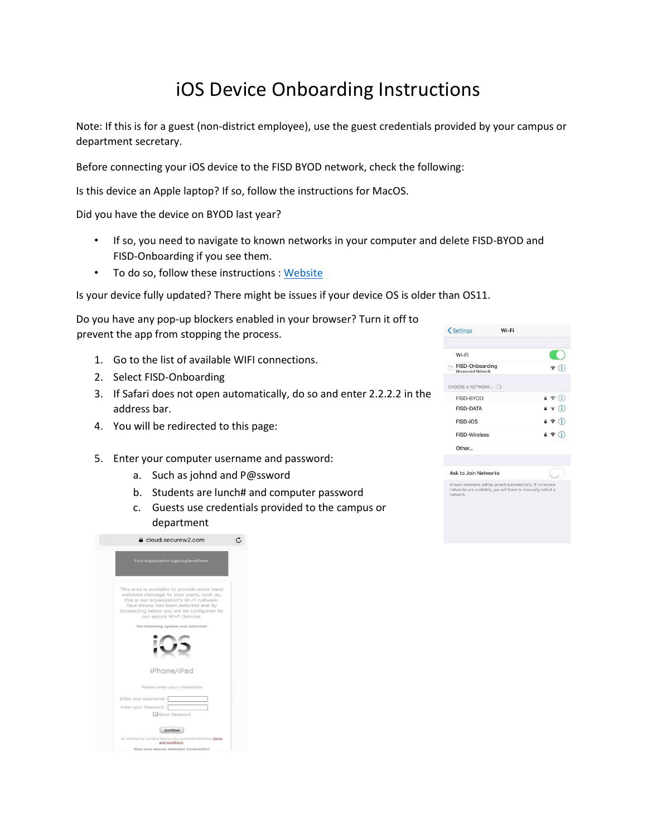## iOS Device Onboarding Instructions

Note: If this is for a guest (non-district employee), use the guest credentials provided by your campus or department secretary.

Before connecting your iOS device to the FISD BYOD network, check the following:

Is this device an Apple laptop? If so, follow the instructions for MacOS.

Did you have the device on BYOD last year?

- If so, you need to navigate to known networks in your computer and delete FISD-BYOD and FISD-Onboarding if you see them.
- To do so, follow these instructions [: Website](https://www.imore.com/how-forget-wi-fi-network-your-iphone-and-ipad)

Is your device fully updated? There might be issues if your device OS is older than OS11.

Do you have any pop-up blockers enabled in your browser? Turn it off to prevent the app from stopping the process.

- 1. Go to the list of available WIFI connections.
- 2. Select FISD-Onboarding
- 3. If Safari does not open automatically, do so and enter 2.2.2.2 in the address bar.
- 4. You will be redirected to this page:
- 5. Enter your computer username and password:
	- a. Such as johnd and P@ssword
	- b. Students are lunch# and computer password
	- c. Guests use credentials provided to the campus or department



Ask to Join Networks

Known networks will be joined automatically. If no known<br>networks are available, you will have to manually select a<br>networks are available, you will have to manually select a

| uepartment                                                                                                                                                                                                                                               |  |
|----------------------------------------------------------------------------------------------------------------------------------------------------------------------------------------------------------------------------------------------------------|--|
| cloud.securew2.com                                                                                                                                                                                                                                       |  |
| Your organization logo is placed here                                                                                                                                                                                                                    |  |
| This area is available to provide some basic<br>welcome message to your users, such as,<br>this is our organization's Wi-Fi network.<br>Your device has been detected and by<br>Connecting below you will be configured for<br>our secure Wi-Fi Service. |  |
| The following system was detected:                                                                                                                                                                                                                       |  |
|                                                                                                                                                                                                                                                          |  |
| iPhone/iPad                                                                                                                                                                                                                                              |  |
| Please enter your credentials                                                                                                                                                                                                                            |  |
| Enter your Username:                                                                                                                                                                                                                                     |  |
| Enter your Password:                                                                                                                                                                                                                                     |  |
| Show Password                                                                                                                                                                                                                                            |  |
| JoinNow                                                                                                                                                                                                                                                  |  |
| By clicking the JoinNow button you accept the following terms<br>and conditions                                                                                                                                                                          |  |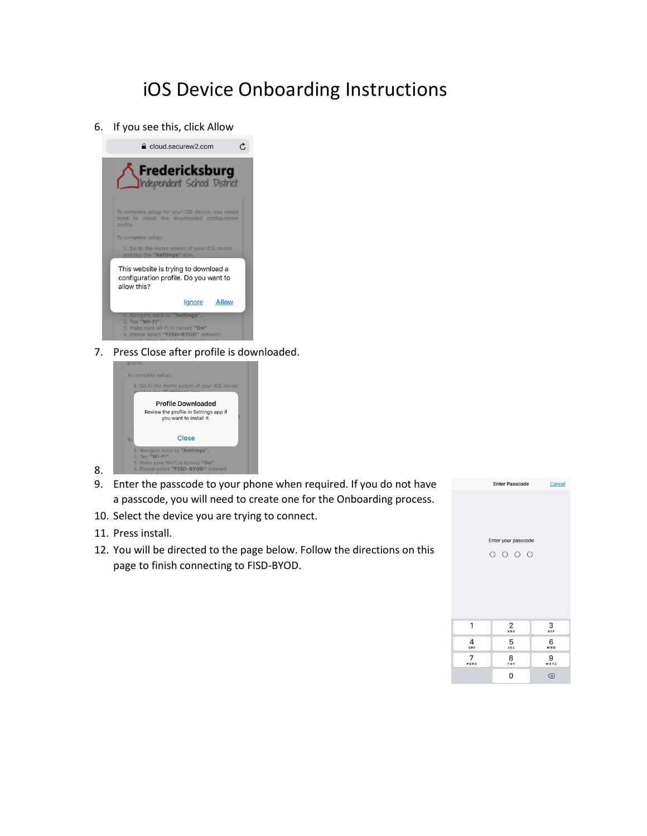## iOS Device Onboarding Instructions

6. If you see this, click Allow



7. Press Close after profile is downloaded.



- 9. Enter the passcode to your phone when required. If you do not have a passcode, you will need to create one for the Onboarding process.
- 10. Select the device you are trying to connect.
- 11. Press install.

8.

12. You will be directed to the page below. Follow the directions on this page to finish connecting to FISD-BYOD.